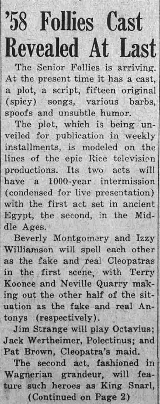## '58 Follies Cast Revealed At Last

The Senior Follies is arriving<br>the present time it has a coat At the present time it has a cast a plot, a script, fifteen original (spicy) songs, various barbs, spoofs and unsubtle humor.

The plot, which is being unveiled for publication in weekly installments, is modeled on the lines of the epic Rice television productions. Its two acts wil have a 1000-year intermission (condensed for live presentation) with the first act set in ancient Egypt, the second, in the Middle Ages

Beverly Montgomery and Izzy Williamson will spell each other as the fake and real Cleopatras in the first scene, with Terry Koonce and Neville Quarry making out the other half of the sit uation as the fake and real Antonys (respectively

Jim Strange will play Octavius Jack Wertheimer, Polectinus; and Pat Brown, Cleopatra's maid.

The second act, fashioned in Wagnerian grandeur, will feature such heroes as King Snar Continued on Page 2